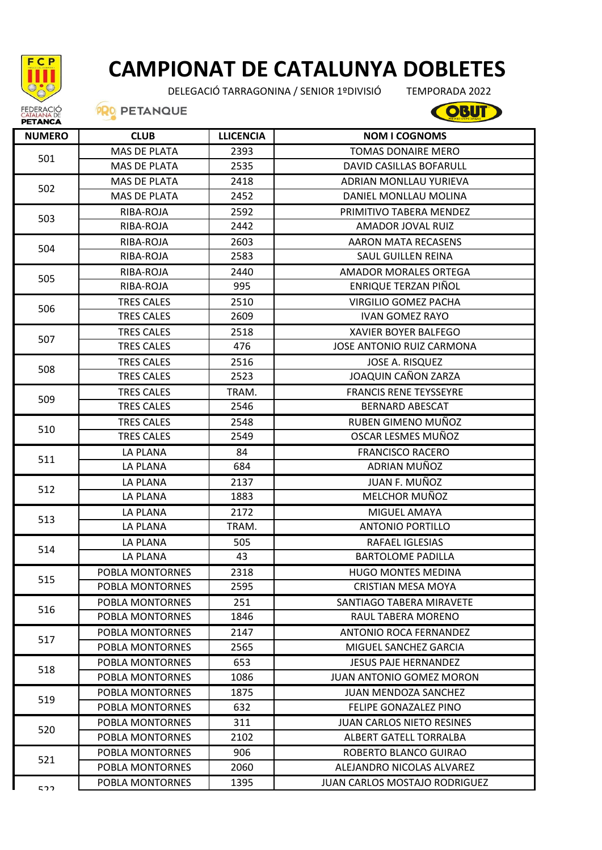

## **CAMPIONAT DE CATALUNYA DOBLETES**

DELEGACIÓ TARRAGONINA / SENIOR 1ºDIVISIÓ

TEMPORADA 2022

COBUT

## **PRO PETANQUE**